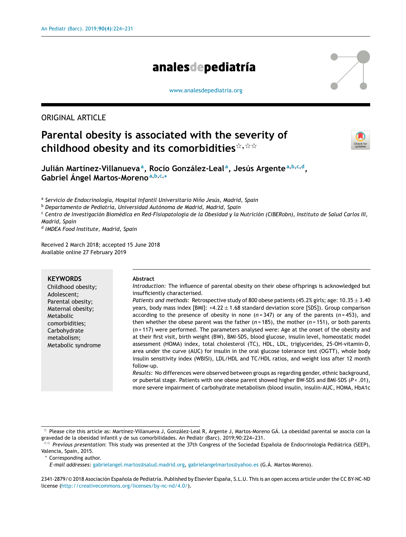# analesdepediatría

[www.analesdepediatria.org](http://www.analesdepediatria.org)

# ORIGINAL ARTICLE

# **Parental obesity is associated with the severity of**  $\mathsf{childhood~obesity~and~its~computities^{\star,\star} \star}$

**Julián Martínez-Villanueva<sup>a</sup> , Rocío González-Leal <sup>a</sup> , Jesús Argente<sup>a</sup>**,**b**,**c**,**<sup>d</sup> , Gabriel Ángel Martos-Moreno<sup>a</sup>**,**b**,**c**,<sup>∗</sup>

a *Servicio de Endocrinología, Hospital Infantil Universitario Nino˜ Jesús, Madrid, Spain*

<sup>b</sup> *Departamento de Pediatría, Universidad Autónoma de Madrid, Madrid, Spain*

<sup>c</sup> Centro de Investigación Biomédica en Red-Fisiopatología de la Obesidad y la Nutrición (CIBERobn), Instituto de Salud Carlos III, *Madrid, Spain*

d *IMDEA Food Institute, Madrid, Spain*

Received 2 March 2018; accepted 15 June 2018 Available online 27 February 2019

*Results:* No differences were observed between groups as regarding gender, ethnic background, or pubertal stage. Patients with one obese parent showed higher BW-SDS and BMI-SDS (*P* < .01), more severe impairment of carbohydrate metabolism (blood insulin, insulin-AUC, HOMA, HbA1c

<sup>-</sup> Please cite this article as: Martínez-Villanueva J, González-Leal R, Argente J, Martos-Moreno GÁ. La obesidad parental se asocia con la gravedad de la obesidad infantil y de sus comorbilidades. An Pediatr (Barc). 2019;90:224-231.

<sup>\*\*</sup> Previous presentation: This study was presented at the 37th Congress of the Sociedad Española de Endocrinología Pediátrica (SEEP), Valencia, Spain, 2015.

<sup>∗</sup> Corresponding author.

*E-mail addresses:* [gabrielangel.martos@salud.madrid.org](mailto:gabrielangel.martos@salud.madrid.org), [gabrielangelmartos@yahoo.es](mailto:gabrielangelmartos@yahoo.es) (G.Á. Martos-Moreno).

<sup>2341-2879/© 2018</sup> Asociación Española de Pediatría. Published by Elsevier España, S.L.U. This is an open access article under the CC BY-NC-ND license [\(http://creativecommons.org/licenses/by-nc-nd/4.0/\)](http://creativecommons.org/licenses/by-nc-nd/4.0/).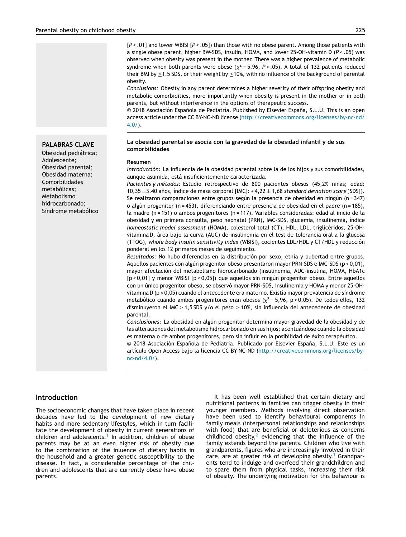[*P* < .01] and lower WBISI [*P* < .05]) than those with no obese parent. Among those patients with a single obese parent, higher BW-SDS, insulin, HOMA, and lower 25-OH-vitamin D (*P* < .05) was observed when obesity was present in the mother. There was a higher prevalence of metabolic syndrome when both parents were obese  $(\chi^2$  = 5.96, P< .05). A total of 132 patients reduced their BMI by  $>$ 1.5 SDS, or their weight by  $>$ 10%, with no influence of the background of parental obesity.

*Conclusions:* Obesity in any parent determines a higher severity of their offspring obesity and metabolic comorbidities, more importantly when obesity is present in the mother or in both parents, but without interference in the options of therapeutic success.

© 2018 Asociación Española de Pediatría. Published by Elsevier España, S.L.U. This is an open access article under the CC BY-NC-ND license ([http://creativecommons.org/licenses/by-nc-nd/](http://creativecommons.org/licenses/by-nc-nd/4.0/) [4.0/](http://creativecommons.org/licenses/by-nc-nd/4.0/)).

### **La obesidad parental se asocia con la gravedad de la obesidad infantil y de sus comorbilidades**

#### **Resumen**

*Introducción:* La influencia de la obesidad parental sobre la de los hijos y sus comorbilidades, aunque asumida, está insuficientemente caracterizada.

*Pacientes y métodos:* Estudio retrospectivo de 800 pacientes obesos (45,2% niñas; edad: 10,35 $\pm$ 3,40 años, índice de masa corporal  $[IMC]: +4,22 \pm 1,68$  *standard deviation score* [SDS]). Se realizaron comparaciones entre grupos según la presencia de obesidad en ningún (n = 347) o algún progenitor (n = 453), diferenciando entre presencia de obesidad en el padre (n = 185), la madre (n = 151) o ambos progenitores (n = 117). Variables consideradas: edad al inicio de la obesidad y en primera consulta, peso neonatal (PRN), IMC-SDS, glucemia, insulinemia, índice *homeostatic model assessment* (HOMA), colesterol total (CT), HDL, LDL, triglicéridos, 25-OHvitamina D, área bajo la curva (AUC) de insulinemia en el test de tolerancia oral a la glucosa (TTOG), *whole body insulin sensitivity index* (WBISI), cocientes LDL/HDL y CT/HDL y reducción ponderal en los 12 primeros meses de seguimiento.

*Resultados:* No hubo diferencias en la distribución por sexo, etnia y pubertad entre grupos. Aquellos pacientes con algún progenitor obeso presentaron mayor PRN-SDS e IMC-SDS (p < 0,01), mayor afectación del metabolismo hidrocarbonado (insulinemia, AUC-insulina, HOMA, HbA1c [p < 0,01] y menor WBISI [p < 0,05]) que aquellos sin ningún progenitor obeso. Entre aquellos con un único progenitor obeso, se observó mayor PRN-SDS, insulinemia y HOMA y menor 25-OHvitamina D (p < 0,05) cuando el antecedente era materno. Existía mayor prevalencia de síndrome metabólico cuando ambos progenitores eran obesos ( $\chi^2$  = 5,96, p < 0,05). De todos ellos, 132 disminuyeron el IMC ≥ 1,5 SDS y/o el peso ≥ 10%, sin influencia del antecedente de obesidad parental.

*Conclusiones:* La obesidad en algún progenitor determina mayor gravedad de la obesidad y de las alteraciones del metabolismo hidrocarbonado en sus hijos; acentuándose cuando la obesidad es materna o de ambos progenitores, pero sin influir en la posibilidad de éxito terapéutico.

 $© 2018 Asociación Española de Pediatría. Publicado por Elsevier España, S.L.U. Este es un$ artículo Open Access bajo la licencia CC BY-NC-ND [\(http://creativecommons.org/licenses/by](http://creativecommons.org/licenses/by-nc-nd/4.0/)[nc-nd/4.0/](http://creativecommons.org/licenses/by-nc-nd/4.0/)).

## **Introduction**

The socioeconomic changes that have taken place in recent decades have led to the development of new dietary habits and more sedentary lifestyles, which in turn facilitate the development of obesity in current generations of children and adolescents.<sup>[1](#page-6-0)</sup> In addition, children of obese parents may be at an even higher risk of obesity due to the combination of the inluence of dietary habits in the household and a greater genetic susceptibility to the disease. In fact, a considerable percentage of the children and adolescents that are currently obese have obese parents.

It has been well established that certain dietary and nutritional patterns in families can trigger obesity in their younger members. Methods involving direct observation have been used to identify behavioural components in family meals (interpersonal relationships and relationships with food) that are beneficial or deleterious as concerns childhood obesity,<sup>[2](#page-6-0)</sup> evidencing that the influence of the family extends beyond the parents. Children who live with grandparents, figures who are increasingly involved in their care, are at greater risk of developing obesity.<sup>[3](#page-6-0)</sup> Grandparents tend to indulge and overfeed their grandchildren and to spare them from physical tasks, increasing their risk of obesity. The underlying motivation for this behaviour is

# **PALABRAS CLAVE**

Obesidad pediátrica; Adolescente; Obesidad parental; Obesidad materna; Comorbilidades metabólicas; Metabolismo hidrocarbonado; Síndrome metabólico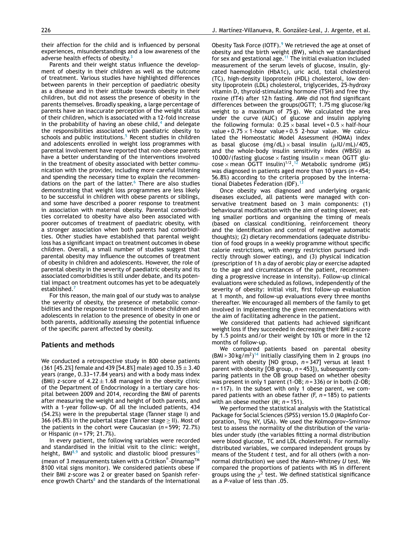their affection for the child and is influenced by personal experiences, misunderstandings and a low awareness of the adverse health effects of obesity.<sup>[3](#page-6-0)</sup>

Parents and their weight status influence the development of obesity in their children as well as the outcome of treatment. Various studies have highlighted differences between parents in their perception of paediatric obesity as a disease and in their attitude towards obesity in their children, but did not assess the presence of obesity in the parents themselves. Broadly speaking, a large percentage of parents have an inaccurate perception of the weight status of their children, which is associated with a 12-fold increase in the probability of having an obese child, $4$  and delegate the responsibilities associated with paediatric obesity to schools and public institutions.<sup>[5](#page-6-0)</sup> Recent studies in children and adolescents enrolled in weight loss programmes with parental involvement have reported that non-obese parents have a better understanding of the interventions involved in the treatment of obesity associated with better communication with the provider, including more careful listening and spending the necessary time to explain the recommen-dations on the part of the latter.<sup>[6](#page-6-0)</sup> There are also studies demonstrating that weight loss programmes are less likely to be successful in children with obese parents or siblings, and some have described a poorer response to treatment in association with maternal obesity. Parental comorbidities correlated to obesity have also been associated with poorer outcomes of treatment of paediatric obesity, with a stronger association when both parents had comorbidities. Other studies have established that parental weight loss has a significant impact on treatment outcomes in obese children. Overall, a small number of studies suggest that parental obesity may influence the outcomes of treatment of obesity in children and adolescents. However, the role of parental obesity in the severity of paediatric obesity and its associated comorbidities is still under debate, and its potential impact on treatment outcomes has yet to be adequately established.<sup>[7](#page-6-0)</sup>

For this reason, the main goal of our study was to analyse the severity of obesity, the presence of metabolic comorbidities and the response to treatment in obese children and adolescents in relation to the presence of obesity in one or both parents, additionally assessing the potential influence of the specific parent affected by obesity.

# **Patients and methods**

We conducted a retrospective study in 800 obese patients (361 [45.2%] female and 439 [54.8%] male) aged  $10.35 \pm 3.40$ years (range, 0.33-17.84 years) and with a body mass index (BMI) *z*-score of  $4.22 \pm 1.68$  managed in the obesity clinic of the Department of Endocrinology in a tertiary care hospital between 2009 and 2014, recording the BMI of parents after measuring the weight and height of both parents, and with a 1-year follow-up. Of all the included patients, 434 (54.2%) were in the prepubertal stage (Tanner stage I) and 366 (45.8%) in the pubertal stage (Tanner stage  $>$  II). Most of the patients in the cohort were Caucasian (*n* = 599; 72.7%) or Hispanic (*n* = 179; 21.7%).

In every patient, the following variables were recorded and standardised in the initial visit to the clinic: weight, height, BMI $8,9$  and systolic and diastolic blood pressures<sup>[10](#page-6-0)</sup> (mean of 3 measurements taken with a Critikon®-Dinamap™ 8100 vital signs monitor). We considered patients obese if their BMI *z*-score was 2 or greater based on Spanish reference growth Charts $8$  and the standards of the International

Obesity Task Force (IOTF). $9$  [W](#page-6-0)e retrieved the age at onset of obesity and the birth weight (BW), which we standardised for sex and gestational age.<sup>[11](#page-6-0)</sup> The initial evaluation included measurement of the serum levels of glucose, insulin, glycated haemoglobin (HbA1c), uric acid, total cholesterol (TC), high-density lipoprotein (HDL) cholesterol, low density lipoprotein (LDL) cholesterol, triglycerides, 25-hydroxy vitamin D, thyroid-stimulating hormone (TSH) and free thyroxine (fT4) after 12 h fasting. AWe did not find significant differences between the groups(OGTT; 1.75 mg glucose/kg weight to a maximum of 75 g). We calculated the area under the curve (AUC) of glucose and insulin applying the following formula:  $0.25 \times$  basal level + 0.5  $\times$  half-hour value +  $0.75 \times 1$ -hour value + 0.5 2-hour value. We calculated the Homeostatic Model Assessment (HOMA) index as basal glucose (mg/dL)  $\times$  basal insulin ( $\mu$ IU/mL)/405, and the whole-body insulin sensitivity index (WBISI) as 10 000/(fasting glucose  $\times$  fasting insulin  $\times$  mean OGTT glucose  $\times$  mean OGTT insulin)<sup>1/2</sup>.<sup>[12](#page-6-0)</sup> Metabolic syndrome (MS) was diagnosed in patients aged more than 10 years (*n* = 454; 56.8%) according to the criteria proposed by the International Diabetes Federation (IDF).

Once obesity was diagnosed and underlying organic diseases excluded, all patients were managed with conservative treatment based on 3 main components: (1) behavioural modification with the aim of eating slower, eating smaller portions and organising the timing of meals (based on classical conditioning, reinforcement theory and the identification and control of negative automatic thoughts); (2) dietary recommendations (adequate distribution of food groups in a weekly programme without specific calorie restrictions, with energy restriction pursued indirectly through slower eating), and (3) physical indication (prescription of 1 h a day of aerobic play or exercise adapted to the age and circumstances of the patient, recommending a progressive increase in intensity). Follow-up clinical evaluations were scheduled as follows, independently of the severity of obesity: initial visit, first follow-up evaluation at 1 month, and follow-up evaluations every three months thereafter. We encouraged all members of the family to get involved in implementing the given recommendations with the aim of facilitating adherence in the patient.

We considered that patients had achieved significant weight loss if they succeeded in decreasing their BMI *z*-score by 1.5 points and/or their weight by 10% or more in the 12 months of follow-up.

We compared patients based on parental obesity  $(M) > 30 \text{ kg/m}^2$  initially classifying them in 2 groups (no parent with obesity [NO group, *n* = 347] versus at least 1 parent with obesity [OB group, *n* = 453]), subsequently comparing patients in the OB group based on whether obesity was present in only 1 parent (1-OB; *n* = 336) or in both (2-OB; *n* = 117). In the subset with only 1 obese parent, we compared patients with an obese father (F, *n* = 185) to patients with an obese mother (M;  $n = 151$ ).

We performed the statistical analysis with the Statistical Package for Social Sciences (SPSS) version 15.0 (MapInfo Corporation, Troy, NY, USA). We used the Kolmogorov-Smirnov test to assess the normality of the distribution of the variables under study (the variables fitting a normal distribution were blood glucose, TC and LDL cholesterol). For normallydistributed variables, we compared independent groups by means of the Student *t* test, and for all others (with a nonnormal distribution) we used the Mann-Whitney *U* test. We compared the proportions of patients with MS in different groups using the  $\chi^2$  test. We defined statistical significance as a *P*-value of less than .05.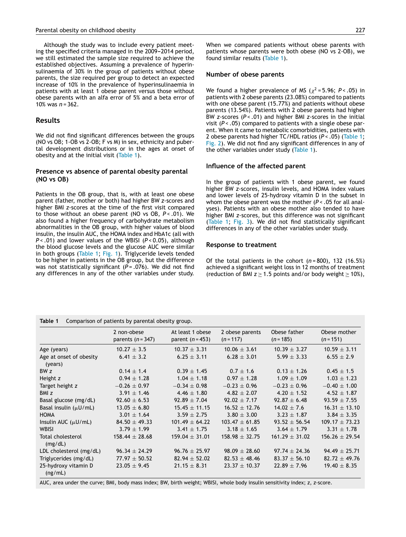Although the study was to include every patient meeting the specified criteria managed in the 2009-2014 period, we still estimated the sample size required to achieve the established objectives. Assuming a prevalence of hyperinsulinaemia of 30% in the group of patients without obese parents, the size required per group to detect an expected increase of 10% in the prevalence of hyperinsulinaemia in patients with at least 1 obese parent versus those without obese parents with an alfa error of 5% and a beta error of 10% was *n* = 362.

## **Results**

We did not find significant differences between the groups (NO vs OB; 1-OB vs 2-OB; F vs M) in sex, ethnicity and pubertal development distributions or in the ages at onset of obesity and at the initial visit (Table 1).

## **Presence vs absence of parental obesity parental (NO vs OB)**

Patients in the OB group, that is, with at least one obese parent (father, mother or both) had higher BW *z*-scores and higher BMI *z*-scores at the time of the first visit compared to those without an obese parent (NO vs OB, *P* < .01). We also found a higher frequency of carbohydrate metabolism abnormalities in the OB group, with higher values of blood insulin, the insulin AUC, the HOMA index and HbA1c (all with *P < .*01) and lower values of the WBISI (*P* < 0.05), although the blood glucose levels and the glucose AUC were similar in both groups (Table 1; [Fig.](#page-4-0) 1). Triglyceride levels tended to be higher in patients in the OB group, but the difference was not statistically significant ( $P = .076$ ). We did not find any differences in any of the other variables under study. When we compared patients without obese parents with patients whose parents were both obese (NO vs 2-OB), we found similar results (Table 1).

#### **Number of obese parents**

We found a higher prevalence of MS ( $\chi^2$  = 5.96; P < .05) in patients with 2 obese parents (23.08%) compared to patients with one obese parent (15.77%) and patients without obese parents (13.54%). Patients with 2 obese parents had higher BW *z*-scores (*P < .*01) and higher BMI *z*-scores in the initial visit (*P < .*05) compared to patients with a single obese parent. When it came to metabolic comorbidities, patients with 2 obese parents had higher TC/HDL ratios (*P < .*05) (Table 1; [Fig.](#page-4-0) 2). We did not find any significant differences in any of the other variables under study (Table 1).

#### **Influence of the affected parent**

In the group of patients with 1 obese parent, we found higher BW *z*-scores, insulin levels, and HOMA index values and lower levels of 25-hydroxy vitamin D in the subset in whom the obese parent was the mother (*P < .*05 for all analyses). Patients with an obese mother also tended to have higher BMI *z*-scores, but this difference was not significant (Table 1; [Fig.](#page-5-0) 3). We did not find statistically significant differences in any of the other variables under study.

#### **Response to treatment**

Of the total patients in the cohort (*n* = 800), 132 (16.5%) achieved a significant weight loss in 12 months of treatment (reduction of BMI  $z \ge 1.5$  points and/or body weight  $\ge 10\%$ ),

### **Table 1** Comparison of patients by parental obesity group.

|                                    | 2 non-obese<br>parents $(n=347)$ | At least 1 obese<br>parent $(n=453)$ | 2 obese parents<br>$(n = 117)$ | Obese father<br>$(n = 185)$ | Obese mother<br>$(n = 151)$ |
|------------------------------------|----------------------------------|--------------------------------------|--------------------------------|-----------------------------|-----------------------------|
| Age (years)                        | $10.27 \pm 3.5$                  | $10.37 \pm 3.31$                     | $10.06 \pm 3.61$               | $10.39 \pm 3.27$            | $10.59 \pm 3.11$            |
| Age at onset of obesity<br>(years) | 6.41 $\pm$ 3.2                   | $6.25 \pm 3.11$                      | $6.28 \pm 3.01$                | $5.99 \pm 3.33$             | $6.55 \pm 2.9$              |
| BW <sub>z</sub>                    | $0.14 \pm 1.4$                   | $0.39 \pm 1.45$                      | $0.7 \pm 1.6$                  | $0.13 \pm 1.26$             | $0.45 \pm 1.5$              |
| Height z                           | $0.94 \pm 1.28$                  | $1.04 \pm 1.18$                      | $0.97 \pm 1.28$                | $1.09 \pm 1.09$             | $1.03 \pm 1.23$             |
| Target height z                    | $-0.26 \pm 0.97$                 | $-0.34 \pm 0.98$                     | $-0.23 \pm 0.96$               | $-0.23 \pm 0.96$            | $-0.40 \pm 1.00$            |
| BMI <sub>z</sub>                   | $3.91 \pm 1.46$                  | $4.46 \pm 1.80$                      | $4.82 \pm 2.07$                | $4.20 \pm 1.52$             | $4.52 \pm 1.87$             |
| Basal glucose (mg/dL)              | $92.60 \pm 6.53$                 | $92.89 \pm 7.04$                     | $92.02 \pm 7.17$               | $92.87 \pm 6.48$            | $93.59 \pm 7.55$            |
| Basal insulin $(\mu U/mL)$         | $13.05 \pm 6.80$                 | $15.45 \pm 11.15$                    | $16.52 \pm 12.76$              | $14.02 \pm 7.6$             | $16.31 \pm 13.10$           |
| <b>HOMA</b>                        | $3.01 \pm 1.64$                  | $3.59 \pm 2.75$                      | $3.80 \pm 3.00$                | $3.23 \pm 1.87$             | $3.84 \pm 3.35$             |
| Insulin AUC $(\mu U/mL)$           | 84.50 $\pm$ 49.33                | $101.49 \pm 64.22$                   | $103.47 \pm 61.85$             | $93.52 \pm 56.54$           | $109.17 \pm 73.23$          |
| WBISI                              | $3.79 \pm 1.99$                  | $3.41 \pm 1.75$                      | $3.18 \pm 1.65$                | $3.64 \pm 1.79$             | $3.31 \pm 1.78$             |
| Total cholesterol<br>(mg/dL)       | $158.44 \pm 28.68$               | $159.04 \pm 31.01$                   | $158.98 \pm 32.75$             | $161.29 \pm 31.02$          | $156.26 \pm 29.54$          |
| LDL cholesterol (mg/dL)            | $96.34 \pm 24.29$                | $96.76 \pm 25.97$                    | $98.09 \pm 28.60$              | $97.74 \pm 24.36$           | $94.49 \pm 25.71$           |
| Triglycerides (mg/dL)              | $77.97 \pm 50.52$                | $82.94 \pm 52.02$                    | $82.53 \pm 48.46$              | $83.37 \pm 56.10$           | $82.72 \pm 49.76$           |
| 25-hydroxy vitamin D<br>(ng/mL)    | $23.05 \pm 9.45$                 | $21.15 \pm 8.31$                     | $23.37 \pm 10.37$              | $22.89 \pm 7.96$            | $19.40 \pm 8.35$            |

AUC, area under the curve; BMI, body mass index; BW, birth weight; WBISI, whole body insulin sensitivity index; *z*, *z*-score.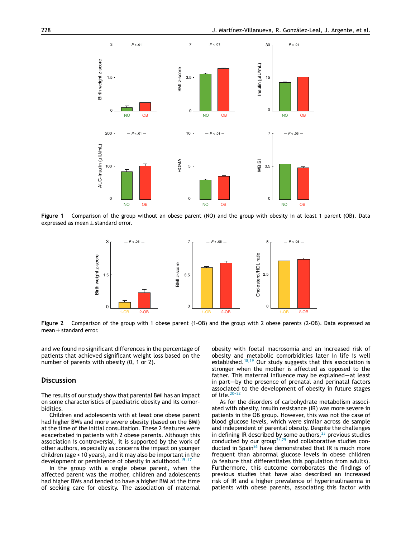<span id="page-4-0"></span>

**Figure 1** Comparison of the group without an obese parent (NO) and the group with obesity in at least 1 parent (OB). Data expressed as mean  $\pm$  standard error.



**Figure 2** Comparison of the group with 1 obese parent (1-OB) and the group with 2 obese parents (2-OB). Data expressed as mean  $\pm$  standard error.

and we found no significant differences in the percentage of patients that achieved significant weight loss based on the number of parents with obesity (0, 1 or 2).

### **Discussion**

The results of our study show that parental BMI has an impact on some characteristics of paediatric obesity and its comorbidities.

Children and adolescents with at least one obese parent had higher BWs and more severe obesity (based on the BMI) at the time of the initial consultation. These 2 features were exacerbated in patients with 2 obese parents. Although this association is controversial, it is supported by the work of other authors, especially as concerns the impact on younger children (age < 10 years), and it may also be important in the development or persistence of obesity in adulthood.<sup>15--</sup>

In the group with a single obese parent, when the affected parent was the mother, children and adolescents had higher BWs and tended to have a higher BMI at the time of seeking care for obesity. The association of maternal

obesity with foetal macrosomia and an increased risk of obesity and metabolic comorbidities later in life is well established.<sup>[18,19](#page-6-0)</sup> Our study suggests that this association is stronger when the mother is affected as opposed to the father. This maternal influence may be explained-at least in part--by the presence of prenatal and perinatal factors associated to the development of obesity in future stages of life. $20-22$ 

As for the disorders of carbohydrate metabolism associated with obesity, insulin resistance (IR) was more severe in patients in the OB group. However, this was not the case of blood glucose levels, which were similar across de sample and independent of parental obesity. Despite the challenges in defining IR described by some authors,  $23$  previous studies conducted by our group<sup>[24,25](#page-7-0)</sup> and collaborative studies con-ducted in Spain<sup>[26](#page-7-0)</sup> have demonstrated that IR is much more frequent than abnormal glucose levels in obese children (a feature that differentiates this population from adults). Furthermore, this outcome corroborates the findings of previous studies that have also described an increased risk of IR and a higher prevalence of hyperinsulinaemia in patients with obese parents, associating this factor with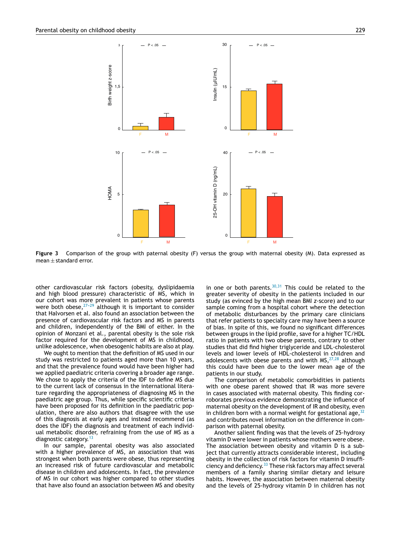<span id="page-5-0"></span>

**Figure 3** Comparison of the group with paternal obesity (F) versus the group with maternal obesity (M). Data expressed as mean  $\pm$  standard error.

other cardiovascular risk factors (obesity, dyslipidaemia and high blood pressure) characteristic of MS, which in our cohort was more prevalent in patients whose parents were both obese, $27-29$  although it is important to consider that Halvorsen et al. also found an association between the presence of cardiovascular risk factors and MS in parents and children, independently of the BMI of either. In the opinion of Monzani et al., parental obesity is the sole risk factor required for the development of MS in childhood, unlike adolescence, when obesogenic habits are also at play.

We ought to mention that the definition of MS used in our study was restricted to patients aged more than 10 years, and that the prevalence found would have been higher had we applied paediatric criteria covering a broader age range. We chose to apply the criteria of the IDF to define MS due to the current lack of consensus in the international literature regarding the appropriateness of diagnosing MS in the paediatric age group. Thus, while specific scientific criteria have been proposed for its definition in the paediatric population, there are also authors that disagree with the use of this diagnosis at early ages and instead recommend (as does the IDF) the diagnosis and treatment of each individual metabolic disorder, refraining from the use of MS as a diagnostic category.<sup>[13](#page-6-0)</sup>

In our sample, parental obesity was also associated with a higher prevalence of MS, an association that was strongest when both parents were obese, thus representing an increased risk of future cardiovascular and metabolic disease in children and adolescents. In fact, the prevalence of MS in our cohort was higher compared to other studies that have also found an association between MS and obesity in one or both parents.  $30,31$  This could be related to the greater severity of obesity in the patients included in our study (as evinced by the high mean BMI *z*-score) and to our sample coming from a hospital cohort where the detection of metabolic disturbances by the primary care clinicians that refer patients to specialty care may have been a source of bias. In spite of this, we found no significant differences between groups in the lipid profile, save for a higher TC/HDL ratio in patients with two obese parents, contrary to other studies that did find higher triglyceride and LDL-cholesterol levels and lower levels of HDL-cholesterol in children and adolescents with obese parents and with  $MS, <sup>27,28</sup>$  $MS, <sup>27,28</sup>$  $MS, <sup>27,28</sup>$  although this could have been due to the lower mean age of the patients in our study.

The comparison of metabolic comorbidities in patients with one obese parent showed that IR was more severe in cases associated with maternal obesity. This finding corroborates previous evidence demonstrating the influence of maternal obesity on the development of IR and obesity, even in children born with a normal weight for gestational age,  $32$ and contributes novel information on the difference in comparison with paternal obesity.

Another salient finding was that the levels of 25-hydroxy vitamin D were lower in patients whose mothers were obese. The association between obesity and vitamin D is a subject that currently attracts considerable interest, including obesity in the collection of risk factors for vitamin D insufficiency and deficiency.[33](#page-7-0) These risk factors may affect several members of a family sharing similar dietary and leisure habits. However, the association between maternal obesity and the levels of 25-hydroxy vitamin D in children has not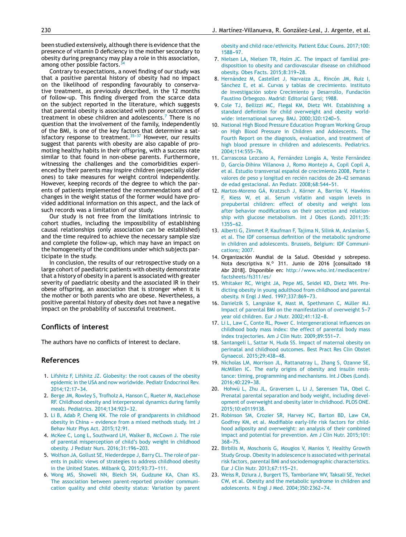<span id="page-6-0"></span>been studied extensively, although there is evidence that the presence of vitamin D deficiency in the mother secondary to obesity during pregnancy may play a role in this association, among other possible factors.

Contrary to expectations, a novel finding of our study was that a positive parental history of obesity had no impact on the likelihood of responding favourably to conservative treatment, as previously described, in the 12 months of follow-up. This finding diverged from the scarce data on the subject reported in the literature, which suggests that parental obesity is associated with poorer outcomes of treatment in obese children and adolescents.<sup>7</sup> There is no question that the involvement of the family, independently of the BMI, is one of the key factors that determine a satisfactory response to treatment. $35-37$  However, our results suggest that parents with obesity are also capable of promoting healthy habits in their offspring, with a success rate similar to that found in non-obese parents. Furthermore, witnessing the challenges and the comorbidities experienced by their parents may inspire children (especially older ones) to take measures for weight control independently. However, keeping records of the degree to which the parents of patients implemented the recommendations and of changes in the weight status of the former would have provided additional information on this aspect, and the lack of such records was a limitation of our study.

Our study is not free from the limitations intrinsic to cohort studies, including the impossibility of establishing causal relationships (only association can be established) and the time required to achieve the necessary sample size and complete the follow-up, which may have an impact on the homogeneity of the conditions under which subjects participate in the study.

In conclusion, the results of our retrospective study on a large cohort of paediatric patients with obesity demonstrate that a history of obesity in a parent is associated with greater severity of paediatric obesity and the associated IR in their obese offspring, an association that is stronger when it is the mother or both parents who are obese. Nevertheless, a positive parental history of obesity does not have a negative impact on the probability of successful treatment.

# **Conflicts of interest**

The authors have no conflicts of interest to declare.

## **References**

- 1. Lifshitz F, Lifshitz JZ. Globesity: the root causes of the obesity epidemic in the USA and now worldwide. Pediatr Endocrinol Rev. 2014;12:17-34.
- 2. Berge JM, Rowley S, Trofholz A, Hanson C, Rueter M, MacLehose RF. Childhood obesity and interpersonal dynamics during family meals. Pediatrics. 2014;134:923-32.
- 3. Li B, Adab P, Cheng KK. The role of grandparents in childhood obesity in China - evidence from a mixed methods study. Int J Behav Nutr Phys Act. 2015;12:91.
- 4. McKee C, Long L, Southward LH, Walker B, McCown J. The role of parental misperception of child's body weight in childhood obesity. J Pediatr Nurs. 2016;31:196-203.
- 5. Wolfson JA, Gollust SE, Niederdeppe J, Barry CL. The role of parents in public views of strategies to address childhood obesity in the United States. Milbank Q. 2015;93:73-111.
- 6. Wong MS, Showell NN, Bleich SN, Gudzune KA, Chan KS. The association between parent-reported provider communication quality and child obesity status: Variation by parent

obesity and child race/ethnicity. Patient Educ Couns. 2017;100: 1588-97

- 7. Nielsen LA, Nielsen TR, Holm JC. The impact of familial predisposition to obesity and cardiovascular disease on childhood obesity. Obes Facts. 2015;8:319-28.
- 8. Hernández M, Castellet J, Narvaiza JL, Rincón JM, Ruiz I, Sánchez E, et al. Curvas y tablas de crecimiento. Instituto de Investigación sobre Crecimiento y Desarrollo, Fundación Faustino Orbegozo. Madrid: Editorial Garsi; 1988.
- 9. Cole TJ, Bellizzi MC, Flegal KM, Dietz WH. Establishing a standard definition for child overweight and obesity worldwide: international survey. BMJ. 2000;320:1240-5.
- 10. National High Blood Pressure Education Program Working Group on High Blood Pressure in Children and Adolescents. The Fourth Report on the diagnosis, evaluation, and treatment of high blood pressure in children and adolescents. Pediatrics. 2004:114:555-76.
- 11. Carrascosa Lezcano A, Fernández Longás A, Yeste Fernández D, García-Dihinx Villanova J, Romo Montejo A, Copil Copil A, et al. Estudio transversal español de crecimiento 2008, Parte I: valores de peso y longitud en recién nacidos de 26-42 semanas de edad gestacional. An Pediatr. 2008;68:544-51.
- 12. Martos-Moreno GÁ, Kratzsch J, Körner A, Barrios V, Hawkins F, Kiess W, et al. Serum visfatin and vaspin levels in prepubertal children: effect of obesity and weight loss after behavior modifications on their secretion and relationship with glucose metabolism. Int J Obes (Lond). 2011;35:  $1355 - 62$ .
- 13. Alberti G, Zimmet P, Kaufman F, Tajima N, Silink M, Arslanian S, et al. The IDF consensus definition of the metabolic syndrome in children and adolescents. Brussels, Belgium: IDF Communications; 2007.
- 14. Organización Mundial de la Salud. Obesidad y sobrepeso. Nota descriptiva N.º 311. Junio de 2016 [consultado 18 Abr 2018]. Disponible en: [http://www.who.int/mediacentre/](http://www.who.int/mediacentre/factsheets/fs311/es/) [factsheets/fs311/es/](http://www.who.int/mediacentre/factsheets/fs311/es/)
- 15. Whitaker RC, Wright JA, Pepe MS, Seidel KD, Dietz WH. Predicting obesity in young adulthood from childhood and parental obesity. N Engl J Med. 1997;337:869-73.
- 16. Danielzik S, Langnäse K, Mast M, Spethmann C, Müller MJ. Impact of parental BMI on the manifestation of overweight 5-7 year old children. Eur J Nutr. 2002;41:132-8.
- 17. Li L, Law C, Conte RL, Power C. Intergenerational influences on childhood body mass index: the effect of parental body mass index trajectories. Am J Clin Nutr. 2009;89:551-7.
- 18. Santangeli L, Sattar N, Huda SS. Impact of maternal obesity on perinatal and childhood outcomes. Best Pract Res Clin Obstet Gynaecol. 2015;29:438-48.
- 19. Nicholas LM, Morrison JL, Rattanatray L, Zhang S, Ozanne SE, McMillen IC. The early origins of obesity and insulin resistance: timing, programming and mechanisms. Int J Obes (Lond). 2016;40:229-38.
- 20. Hohwü L, Zhu JL, Graversen L, Li J, Sørensen TIA, Obel C. Prenatal parental separation and body weight, including development of overweight and obesity later in childhood. PLOS ONE. 2015;10:e0119138.
- 21. Robinson SM, Crozier SR, Harvey NC, Barton BD, Law CM, Godfrey KM, et al. Modifiable early-life risk factors for childhood adiposity and overweight: an analysis of their combined impact and potential for prevention. Am J Clin Nutr. 2015;101:  $368 - 75.$
- 22. Birbilis M, Moschonis G, Mougios V, Manios Y, Healthy Growth Study Group. Obesity in adolescence is associated with perinatal risk factors, parental BMI and sociodemographic characteristics. Eur J Clin Nutr. 2013;67:115-21.
- 23. Weiss R, Dziura J, Burgert TS, Tamborlane WV, Taksali SE, Yeckel CW, et al. Obesity and the metabolic syndrome in children and adolescents. N Engl J Med. 2004;350:2362-74.